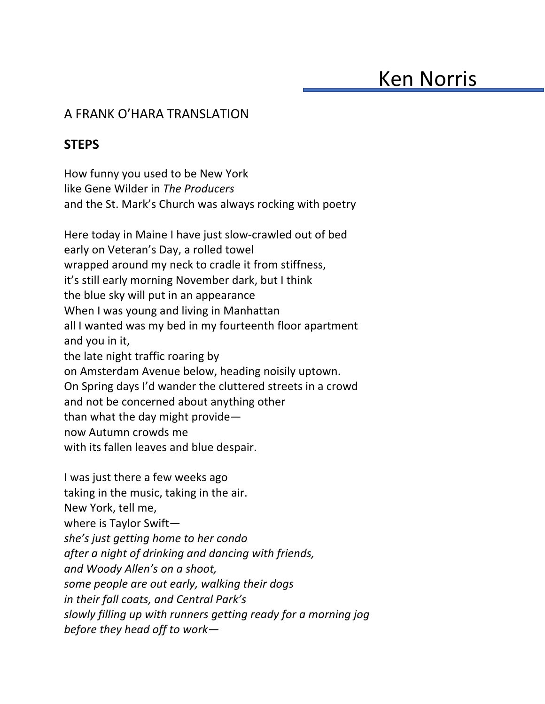## A FRANK O'HARA TRANSLATION

## **STEPS**

How funny you used to be New York like Gene Wilder in *The Producers* and the St. Mark's Church was always rocking with poetry

Here today in Maine I have just slow-crawled out of bed early on Veteran's Day, a rolled towel wrapped around my neck to cradle it from stiffness, it's still early morning November dark, but I think the blue sky will put in an appearance When I was young and living in Manhattan all I wanted was my bed in my fourteenth floor apartment and you in it, the late night traffic roaring by on Amsterdam Avenue below, heading noisily uptown. On Spring days I'd wander the cluttered streets in a crowd and not be concerned about anything other than what the day might provide now Autumn crowds me with its fallen leaves and blue despair.

I was just there a few weeks ago taking in the music, taking in the air. New York, tell me, where is Taylor Swift *she's just getting home to her condo after a night of drinking and dancing with friends, and Woody Allen's on a shoot, some people are out early, walking their dogs in their fall coats, and Central Park's slowly filling up with runners getting ready for a morning jog before they head off to work—*